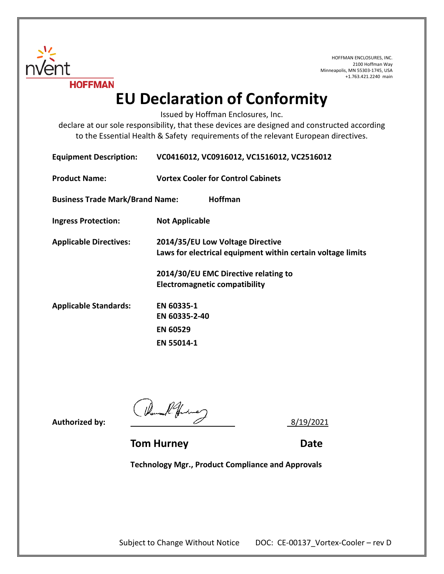

HOFFMAN ENCLOSURES, INC. 2100 Hoffman Way Minneapolis, MN 55303-1745, USA +1.763.421.2240 main

## **EU Declaration of Conformity**

Issued by Hoffman Enclosures, Inc.

declare at our sole responsibility, that these devices are designed and constructed according to the Essential Health & Safety requirements of the relevant European directives.

| <b>Equipment Description:</b>          | VC0416012, VC0916012, VC1516012, VC2516012                                                      |
|----------------------------------------|-------------------------------------------------------------------------------------------------|
| <b>Product Name:</b>                   | <b>Vortex Cooler for Control Cabinets</b>                                                       |
| <b>Business Trade Mark/Brand Name:</b> | <b>Hoffman</b>                                                                                  |
| <b>Ingress Protection:</b>             | <b>Not Applicable</b>                                                                           |
| <b>Applicable Directives:</b>          | 2014/35/EU Low Voltage Directive<br>Laws for electrical equipment within certain voltage limits |
|                                        | 2014/30/EU EMC Directive relating to                                                            |
|                                        | <b>Electromagnetic compatibility</b>                                                            |
| <b>Applicable Standards:</b>           | EN 60335-1                                                                                      |
|                                        | EN 60335-2-40                                                                                   |
|                                        | <b>EN 60529</b>                                                                                 |
|                                        | <b>EN 55014-1</b>                                                                               |

Authorized by:  $\frac{1}{2}$  8/19/2021

**Tom Hurney Communication Communication Communication Date** 

**Technology Mgr., Product Compliance and Approvals**